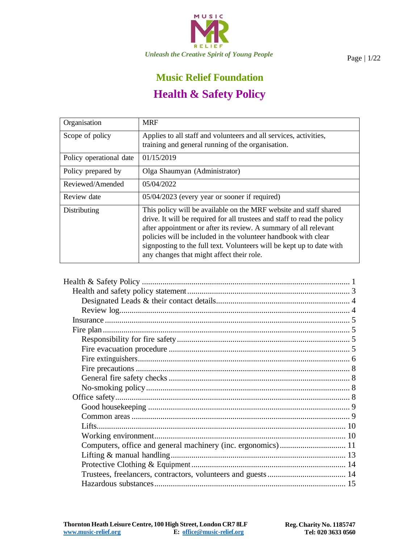

# **Music Relief Foundation Health & Safety Policy**

<span id="page-0-0"></span>

| Organisation            | <b>MRF</b>                                                                                                                                                                                                                                                                                                                                                                                                |
|-------------------------|-----------------------------------------------------------------------------------------------------------------------------------------------------------------------------------------------------------------------------------------------------------------------------------------------------------------------------------------------------------------------------------------------------------|
| Scope of policy         | Applies to all staff and volunteers and all services, activities,                                                                                                                                                                                                                                                                                                                                         |
|                         | training and general running of the organisation.                                                                                                                                                                                                                                                                                                                                                         |
| Policy operational date | 01/15/2019                                                                                                                                                                                                                                                                                                                                                                                                |
| Policy prepared by      | Olga Shaumyan (Administrator)                                                                                                                                                                                                                                                                                                                                                                             |
| Reviewed/Amended        | 05/04/2022                                                                                                                                                                                                                                                                                                                                                                                                |
| Review date             | 05/04/2023 (every year or sooner if required)                                                                                                                                                                                                                                                                                                                                                             |
| Distributing            | This policy will be available on the MRF website and staff shared<br>drive. It will be required for all trustees and staff to read the policy<br>after appointment or after its review. A summary of all relevant<br>policies will be included in the volunteer handbook with clear<br>signposting to the full text. Volunteers will be kept up to date with<br>any changes that might affect their role. |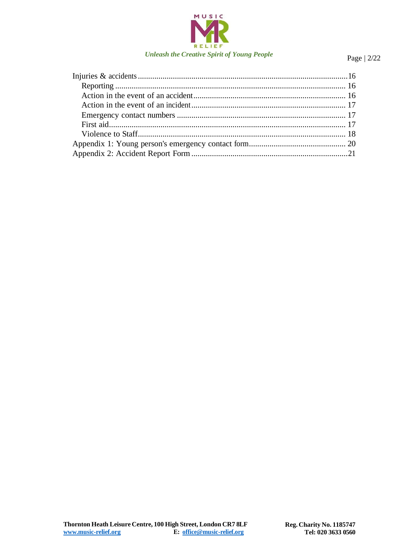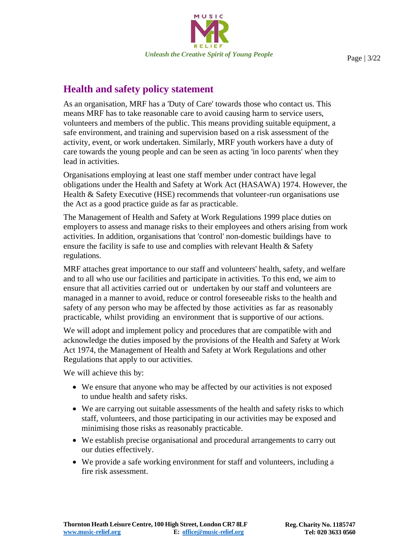

### <span id="page-2-0"></span>**Health and safety policy statement**

As an organisation, MRF has a 'Duty of Care' towards those who contact us. This means MRF has to take reasonable care to avoid causing harm to service users, volunteers and members of the public. This means providing suitable equipment, a safe environment, and training and supervision based on a risk assessment of the activity, event, or work undertaken. Similarly, MRF youth workers have a duty of care towards the young people and can be seen as acting 'in loco parents' when they lead in activities.

Organisations employing at least one staff member under contract have legal obligations under the Health and Safety at Work Act (HASAWA) 1974. However, the Health & Safety Executive (HSE) recommends that volunteer-run organisations use the Act as a good practice guide as far as practicable.

The Management of Health and Safety at Work Regulations 1999 place duties on employers to assess and manage risks to their employees and others arising from work activities. In addition, organisations that 'control' non-domestic buildings have to ensure the facility is safe to use and complies with relevant Health & Safety regulations.

MRF attaches great importance to our staff and volunteers' health, safety, and welfare and to all who use our facilities and participate in activities. To this end, we aim to ensure that all activities carried out or undertaken by our staff and volunteers are managed in a manner to avoid, reduce or control foreseeable risks to the health and safety of any person who may be affected by those activities as far as reasonably practicable, whilst providing an environment that is supportive of our actions.

We will adopt and implement policy and procedures that are compatible with and acknowledge the duties imposed by the provisions of the Health and Safety at Work Act 1974, the Management of Health and Safety at Work Regulations and other Regulations that apply to our activities.

We will achieve this by:

- We ensure that anyone who may be affected by our activities is not exposed to undue health and safety risks.
- We are carrying out suitable assessments of the health and safety risks to which staff, volunteers, and those participating in our activities may be exposed and minimising those risks as reasonably practicable.
- We establish precise organisational and procedural arrangements to carry out our duties effectively.
- We provide a safe working environment for staff and volunteers, including a fire risk assessment.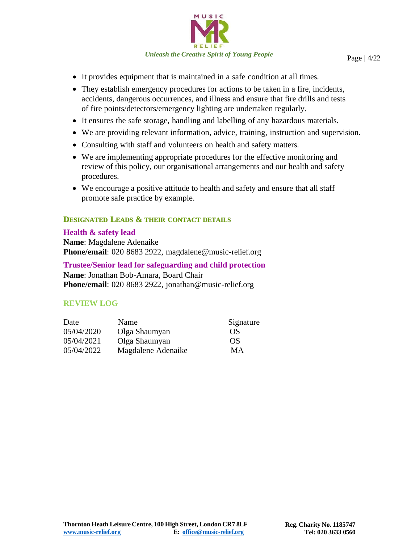

- It provides equipment that is maintained in a safe condition at all times.
- They establish emergency procedures for actions to be taken in a fire, incidents, accidents, dangerous occurrences, and illness and ensure that fire drills and tests of fire points/detectors/emergency lighting are undertaken regularly.
- It ensures the safe storage, handling and labelling of any hazardous materials.
- We are providing relevant information, advice, training, instruction and supervision.
- Consulting with staff and volunteers on health and safety matters.
- We are implementing appropriate procedures for the effective monitoring and review of this policy, our organisational arrangements and our health and safety procedures.
- We encourage a positive attitude to health and safety and ensure that all staff promote safe practice by example.

#### <span id="page-3-0"></span>**DESIGNATED LEADS & THEIR CONTACT DETAILS**

#### **Health & safety lead**

**Name**: Magdalene Adenaike **Phone/email**: 020 8683 2922, [magdalene@music-relief.org](mailto:magdalene@music-relief.org)

#### **Trustee/Senior lead for safeguarding and child protection Name**: Jonathan Bob-Amara, Board Chair **Phone/email**: 020 8683 2922, [jonathan@music-relief.org](mailto:jonathan@music-relief.org)

#### **REVIEW LOG**

| Date       | Name               | Signature |
|------------|--------------------|-----------|
| 05/04/2020 | Olga Shaumyan      | OS        |
| 05/04/2021 | Olga Shaumyan      | OS        |
| 05/04/2022 | Magdalene Adenaike | MА        |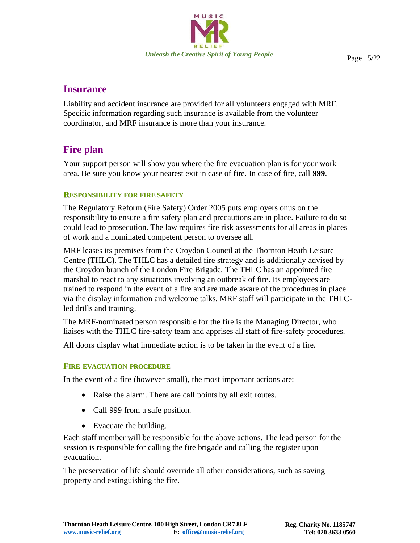

### <span id="page-4-0"></span>**Insurance**

Liability and accident insurance are provided for all volunteers engaged with MRF. Specific information regarding such insurance is available from the volunteer coordinator, and MRF insurance is more than your insurance.

### <span id="page-4-1"></span>**Fire plan**

Your support person will show you where the fire evacuation plan is for your work area. Be sure you know your nearest exit in case of fire. In case of fire, call **999**.

#### <span id="page-4-2"></span>**RESPONSIBILITY FOR FIRE SAFETY**

The Regulatory Reform (Fire Safety) Order 2005 puts employers onus on the responsibility to ensure a fire safety plan and precautions are in place. Failure to do so could lead to prosecution. The law requires fire risk assessments for all areas in places of work and a nominated competent person to oversee all.

MRF leases its premises from the Croydon Council at the Thornton Heath Leisure Centre (THLC). The THLC has a detailed fire strategy and is additionally advised by the Croydon branch of the London Fire Brigade. The THLC has an appointed fire marshal to react to any situations involving an outbreak of fire. Its employees are trained to respond in the event of a fire and are made aware of the procedures in place via the display information and welcome talks. MRF staff will participate in the THLCled drills and training.

The MRF-nominated person responsible for the fire is the Managing Director, who liaises with the THLC fire-safety team and apprises all staff of fire-safety procedures.

All doors display what immediate action is to be taken in the event of a fire.

#### <span id="page-4-3"></span>**FIRE EVACUATION PROCEDURE**

In the event of a fire (however small), the most important actions are:

- Raise the alarm. There are call points by all exit routes.
- Call 999 from a safe position.
- Evacuate the building.

Each staff member will be responsible for the above actions. The lead person for the session is responsible for calling the fire brigade and calling the register upon evacuation.

The preservation of life should override all other considerations, such as saving property and extinguishing the fire.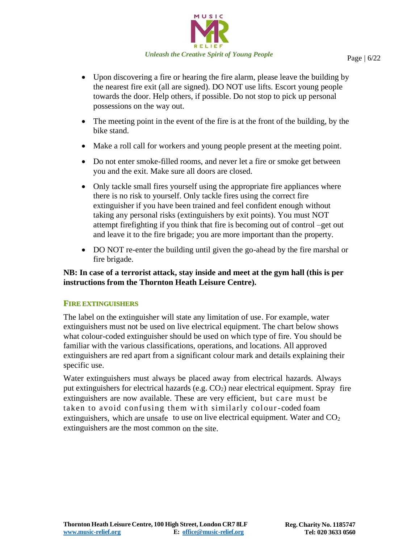

- Upon discovering a fire or hearing the fire alarm, please leave the building by the nearest fire exit (all are signed). DO NOT use lifts. Escort young people towards the door. Help others, if possible. Do not stop to pick up personal possessions on the way out.
- The meeting point in the event of the fire is at the front of the building, by the bike stand.
- Make a roll call for workers and young people present at the meeting point.
- Do not enter smoke-filled rooms, and never let a fire or smoke get between you and the exit. Make sure all doors are closed.
- Only tackle small fires yourself using the appropriate fire appliances where there is no risk to yourself. Only tackle fires using the correct fire extinguisher if you have been trained and feel confident enough without taking any personal risks (extinguishers by exit points). You must NOT attempt firefighting if you think that fire is becoming out of control –get out and leave it to the fire brigade; you are more important than the property.
- DO NOT re-enter the building until given the go-ahead by the fire marshal or fire brigade.

#### **NB: In case of a terrorist attack, stay inside and meet at the gym hall (this is per instructions from the Thornton Heath Leisure Centre).**

#### <span id="page-5-0"></span>**FIRE EXTINGUISHERS**

The label on the extinguisher will state any limitation of use. For example, water extinguishers must not be used on live electrical equipment. The chart below shows what colour-coded extinguisher should be used on which type of fire. You should be familiar with the various classifications, operations, and locations. All approved extinguishers are red apart from a significant colour mark and details explaining their specific use.

Water extinguishers must always be placed away from electrical hazards. Always put extinguishers for electrical hazards (e.g.  $CO<sub>2</sub>$ ) near electrical equipment. Spray fire extinguishers are now available. These are very efficient, but care must be taken to avoid confusing them with similarly colour-coded foam extinguishers, which are unsafe to use on live electrical equipment. Water and  $CO<sub>2</sub>$ extinguishers are the most common on the site.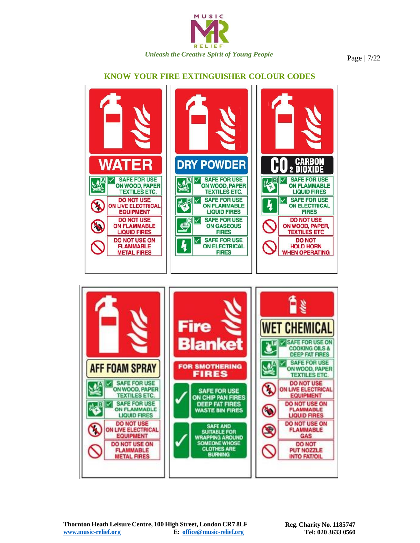

#### **KNOW YOUR FIRE EXTINGUISHER COLOUR CODES**



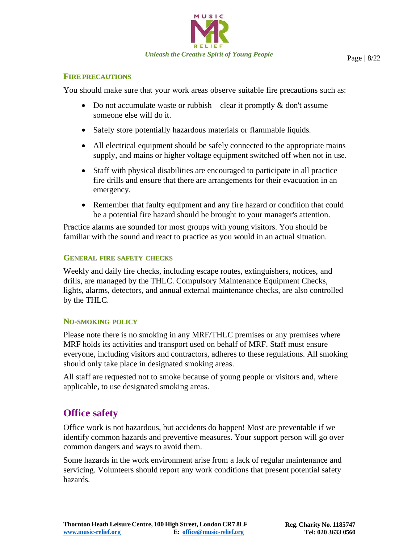

#### <span id="page-7-0"></span>**FIRE PRECAUTIONS**

You should make sure that your work areas observe suitable fire precautions such as:

- Do not accumulate waste or rubbish clear it promptly  $\&$  don't assume someone else will do it.
- Safely store potentially hazardous materials or flammable liquids.
- All electrical equipment should be safely connected to the appropriate mains supply, and mains or higher voltage equipment switched off when not in use.
- Staff with physical disabilities are encouraged to participate in all practice fire drills and ensure that there are arrangements for their evacuation in an emergency.
- Remember that faulty equipment and any fire hazard or condition that could be a potential fire hazard should be brought to your manager's attention.

Practice alarms are sounded for most groups with young visitors. You should be familiar with the sound and react to practice as you would in an actual situation.

#### <span id="page-7-1"></span>**GENERAL FIRE SAFETY CHECKS**

Weekly and daily fire checks, including escape routes, extinguishers, notices, and drills, are managed by the THLC. Compulsory Maintenance Equipment Checks, lights, alarms, detectors, and annual external maintenance checks, are also controlled by the THLC.

#### <span id="page-7-2"></span>**NO-SMOKING POLICY**

Please note there is no smoking in any MRF/THLC premises or any premises where MRF holds its activities and transport used on behalf of MRF. Staff must ensure everyone, including visitors and contractors, adheres to these regulations. All smoking should only take place in designated smoking areas.

All staff are requested not to smoke because of young people or visitors and, where applicable, to use designated smoking areas.

### <span id="page-7-3"></span>**Office safety**

Office work is not hazardous, but accidents do happen! Most are preventable if we identify common hazards and preventive measures. Your support person will go over common dangers and ways to avoid them.

Some hazards in the work environment arise from a lack of regular maintenance and servicing. Volunteers should report any work conditions that present potential safety hazards.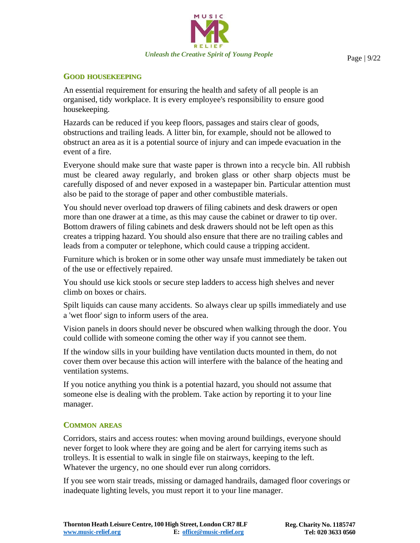

#### <span id="page-8-0"></span>**GOOD HOUSEKEEPING**

An essential requirement for ensuring the health and safety of all people is an organised, tidy workplace. It is every employee's responsibility to ensure good housekeeping.

Hazards can be reduced if you keep floors, passages and stairs clear of goods, obstructions and trailing leads. A litter bin, for example, should not be allowed to obstruct an area as it is a potential source of injury and can impede evacuation in the event of a fire.

Everyone should make sure that waste paper is thrown into a recycle bin. All rubbish must be cleared away regularly, and broken glass or other sharp objects must be carefully disposed of and never exposed in a wastepaper bin. Particular attention must also be paid to the storage of paper and other combustible materials.

You should never overload top drawers of filing cabinets and desk drawers or open more than one drawer at a time, as this may cause the cabinet or drawer to tip over. Bottom drawers of filing cabinets and desk drawers should not be left open as this creates a tripping hazard. You should also ensure that there are no trailing cables and leads from a computer or telephone, which could cause a tripping accident.

Furniture which is broken or in some other way unsafe must immediately be taken out of the use or effectively repaired.

You should use kick stools or secure step ladders to access high shelves and never climb on boxes or chairs.

Spilt liquids can cause many accidents. So always clear up spills immediately and use a 'wet floor' sign to inform users of the area.

Vision panels in doors should never be obscured when walking through the door. You could collide with someone coming the other way if you cannot see them.

If the window sills in your building have ventilation ducts mounted in them, do not cover them over because this action will interfere with the balance of the heating and ventilation systems.

If you notice anything you think is a potential hazard, you should not assume that someone else is dealing with the problem. Take action by reporting it to your line manager.

#### <span id="page-8-1"></span>**COMMON AREAS**

Corridors, stairs and access routes: when moving around buildings, everyone should never forget to look where they are going and be alert for carrying items such as trolleys. It is essential to walk in single file on stairways, keeping to the left. Whatever the urgency, no one should ever run along corridors.

If you see worn stair treads, missing or damaged handrails, damaged floor coverings or inadequate lighting levels, you must report it to your line manager.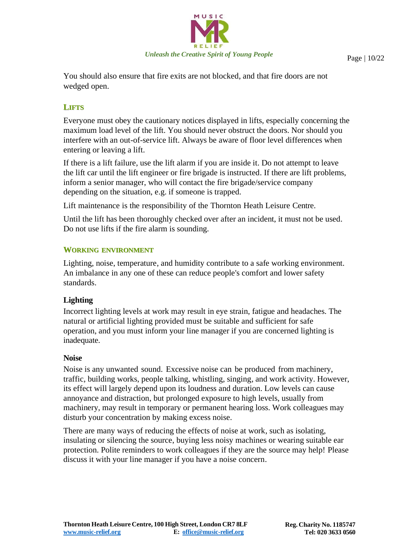

You should also ensure that fire exits are not blocked, and that fire doors are not wedged open.

#### <span id="page-9-0"></span>**LIFTS**

Everyone must obey the cautionary notices displayed in lifts, especially concerning the maximum load level of the lift. You should never obstruct the doors. Nor should you interfere with an out-of-service lift. Always be aware of floor level differences when entering or leaving a lift.

If there is a lift failure, use the lift alarm if you are inside it. Do not attempt to leave the lift car until the lift engineer or fire brigade is instructed. If there are lift problems, inform a senior manager, who will contact the fire brigade/service company depending on the situation, e.g. if someone is trapped.

Lift maintenance is the responsibility of the Thornton Heath Leisure Centre.

Until the lift has been thoroughly checked over after an incident, it must not be used. Do not use lifts if the fire alarm is sounding.

#### <span id="page-9-1"></span>**WORKING ENVIRONMENT**

Lighting, noise, temperature, and humidity contribute to a safe working environment. An imbalance in any one of these can reduce people's comfort and lower safety standards.

#### **Lighting**

Incorrect lighting levels at work may result in eye strain, fatigue and headaches. The natural or artificial lighting provided must be suitable and sufficient for safe operation, and you must inform your line manager if you are concerned lighting is inadequate.

#### **Noise**

Noise is any unwanted sound. Excessive noise can be produced from machinery, traffic, building works, people talking, whistling, singing, and work activity. However, its effect will largely depend upon its loudness and duration. Low levels can cause annoyance and distraction, but prolonged exposure to high levels, usually from machinery, may result in temporary or permanent hearing loss. Work colleagues may disturb your concentration by making excess noise.

There are many ways of reducing the effects of noise at work, such as isolating, insulating or silencing the source, buying less noisy machines or wearing suitable ear protection. Polite reminders to work colleagues if they are the source may help! Please discuss it with your line manager if you have a noise concern.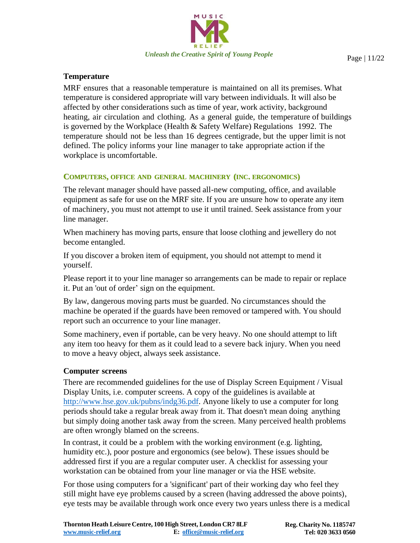

#### **Temperature**

MRF ensures that a reasonable temperature is maintained on all its premises. What temperature is considered appropriate will vary between individuals. It will also be affected by other considerations such as time of year, work activity, background heating, air circulation and clothing. As a general guide, the temperature of buildings is governed by the Workplace (Health & Safety Welfare) Regulations 1992. The temperature should not be less than 16 degrees centigrade, but the upper limit is not defined. The policy informs your line manager to take appropriate action if the workplace is uncomfortable.

#### <span id="page-10-0"></span>**COMPUTERS, OFFICE AND GENERAL MACHINERY (INC. ERGONOMICS)**

The relevant manager should have passed all-new computing, office, and available equipment as safe for use on the MRF site. If you are unsure how to operate any item of machinery, you must not attempt to use it until trained. Seek assistance from your line manager.

When machinery has moving parts, ensure that loose clothing and jewellery do not become entangled.

If you discover a broken item of equipment, you should not attempt to mend it yourself.

Please report it to your line manager so arrangements can be made to repair or replace it. Put an 'out of order' sign on the equipment.

By law, dangerous moving parts must be guarded. No circumstances should the machine be operated if the guards have been removed or tampered with. You should report such an occurrence to your line manager.

Some machinery, even if portable, can be very heavy. No one should attempt to lift any item too heavy for them as it could lead to a severe back injury. When you need to move a heavy object, always seek assistance.

#### **Computer screens**

There are recommended guidelines for the use of Display Screen Equipment / Visual Display Units, i.e. computer screens. A copy of the guidelines is available at <http://www.hse.gov.uk/pubns/indg36.pdf>*.* Anyone likely to use a computer for long periods should take a regular break away from it. That doesn't mean doing anything but simply doing another task away from the screen. Many perceived health problems are often wrongly blamed on the screens.

In contrast, it could be a problem with the working environment (e.g. lighting, humidity etc.), poor posture and ergonomics (see below). These issues should be addressed first if you are a regular computer user. A checklist for assessing your workstation can be obtained from your line manager or via the HSE website.

For those using computers for a 'significant' part of their working day who feel they still might have eye problems caused by a screen (having addressed the above points), eye tests may be available through work once every two years unless there is a medical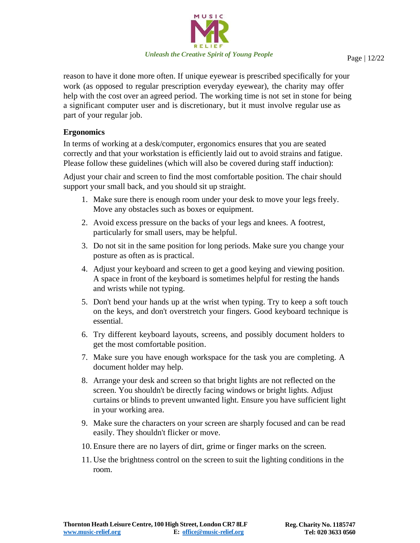

reason to have it done more often. If unique eyewear is prescribed specifically for your work (as opposed to regular prescription everyday eyewear), the charity may offer help with the cost over an agreed period. The working time is not set in stone for being a significant computer user and is discretionary, but it must involve regular use as part of your regular job.

#### **Ergonomics**

In terms of working at a desk/computer, ergonomics ensures that you are seated correctly and that your workstation is efficiently laid out to avoid strains and fatigue. Please follow these guidelines (which will also be covered during staff induction):

Adjust your chair and screen to find the most comfortable position. The chair should support your small back, and you should sit up straight.

- 1. Make sure there is enough room under your desk to move your legs freely. Move any obstacles such as boxes or equipment.
- 2. Avoid excess pressure on the backs of your legs and knees. A footrest, particularly for small users, may be helpful.
- 3. Do not sit in the same position for long periods. Make sure you change your posture as often as is practical.
- 4. Adjust your keyboard and screen to get a good keying and viewing position. A space in front of the keyboard is sometimes helpful for resting the hands and wrists while not typing.
- 5. Don't bend your hands up at the wrist when typing. Try to keep a soft touch on the keys, and don't overstretch your fingers. Good keyboard technique is essential.
- 6. Try different keyboard layouts, screens, and possibly document holders to get the most comfortable position.
- 7. Make sure you have enough workspace for the task you are completing. A document holder may help.
- 8. Arrange your desk and screen so that bright lights are not reflected on the screen. You shouldn't be directly facing windows or bright lights. Adjust curtains or blinds to prevent unwanted light. Ensure you have sufficient light in your working area.
- 9. Make sure the characters on your screen are sharply focused and can be read easily. They shouldn't flicker or move.
- 10. Ensure there are no layers of dirt, grime or finger marks on the screen.
- 11. Use the brightness control on the screen to suit the lighting conditions in the room.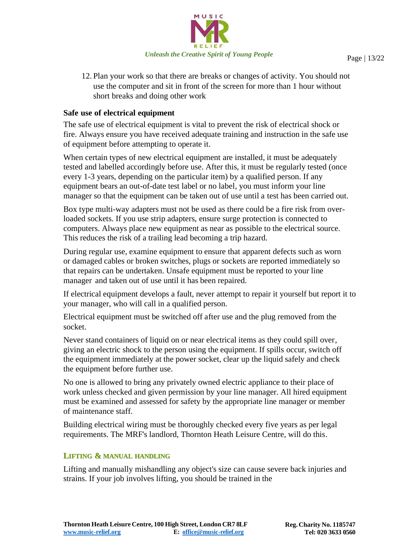

12. Plan your work so that there are breaks or changes of activity. You should not use the computer and sit in front of the screen for more than 1 hour without short breaks and doing other work

#### **Safe use of electrical equipment**

The safe use of electrical equipment is vital to prevent the risk of electrical shock or fire. Always ensure you have received adequate training and instruction in the safe use of equipment before attempting to operate it.

When certain types of new electrical equipment are installed, it must be adequately tested and labelled accordingly before use. After this, it must be regularly tested (once every 1-3 years, depending on the particular item) by a qualified person. If any equipment bears an out-of-date test label or no label, you must inform your line manager so that the equipment can be taken out of use until a test has been carried out.

Box type multi-way adapters must not be used as there could be a fire risk from overloaded sockets. If you use strip adapters, ensure surge protection is connected to computers. Always place new equipment as near as possible to the electrical source. This reduces the risk of a trailing lead becoming a trip hazard.

During regular use, examine equipment to ensure that apparent defects such as worn or damaged cables or broken switches, plugs or sockets are reported immediately so that repairs can be undertaken. Unsafe equipment must be reported to your line manager and taken out of use until it has been repaired.

If electrical equipment develops a fault, never attempt to repair it yourself but report it to your manager, who will call in a qualified person.

Electrical equipment must be switched off after use and the plug removed from the socket.

Never stand containers of liquid on or near electrical items as they could spill over, giving an electric shock to the person using the equipment. If spills occur, switch off the equipment immediately at the power socket, clear up the liquid safely and check the equipment before further use.

No one is allowed to bring any privately owned electric appliance to their place of work unless checked and given permission by your line manager. All hired equipment must be examined and assessed for safety by the appropriate line manager or member of maintenance staff.

Building electrical wiring must be thoroughly checked every five years as per legal requirements. The MRF's landlord, Thornton Heath Leisure Centre, will do this.

#### <span id="page-12-0"></span>**LIFTING & MANUAL HANDLING**

Lifting and manually mishandling any object's size can cause severe back injuries and strains. If your job involves lifting, you should be trained in the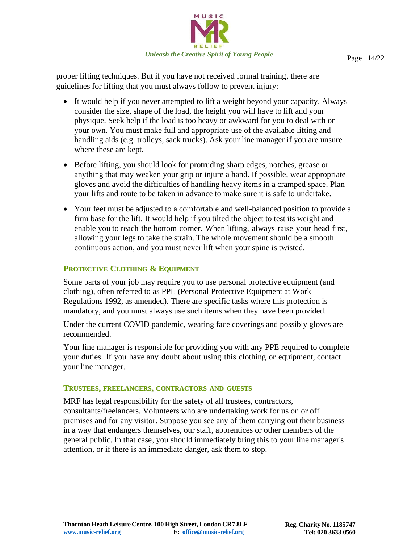

proper lifting techniques. But if you have not received formal training, there are guidelines for lifting that you must always follow to prevent injury:

- It would help if you never attempted to lift a weight beyond your capacity. Always consider the size, shape of the load, the height you will have to lift and your physique. Seek help if the load is too heavy or awkward for you to deal with on your own. You must make full and appropriate use of the available lifting and handling aids (e.g. trolleys, sack trucks). Ask your line manager if you are unsure where these are kept.
- Before lifting, you should look for protruding sharp edges, notches, grease or anything that may weaken your grip or injure a hand. If possible, wear appropriate gloves and avoid the difficulties of handling heavy items in a cramped space. Plan your lifts and route to be taken in advance to make sure it is safe to undertake.
- Your feet must be adjusted to a comfortable and well-balanced position to provide a firm base for the lift. It would help if you tilted the object to test its weight and enable you to reach the bottom corner. When lifting, always raise your head first, allowing your legs to take the strain. The whole movement should be a smooth continuous action, and you must never lift when your spine is twisted.

### <span id="page-13-0"></span>**PROTECTIVE CLOTHING & EQUIPMENT**

Some parts of your job may require you to use personal protective equipment (and clothing), often referred to as PPE (Personal Protective Equipment at Work Regulations 1992, as amended). There are specific tasks where this protection is mandatory, and you must always use such items when they have been provided.

Under the current COVID pandemic, wearing face coverings and possibly gloves are recommended.

Your line manager is responsible for providing you with any PPE required to complete your duties. If you have any doubt about using this clothing or equipment, contact your line manager.

#### **TRUSTEES, FREELANCERS, CONTRACTORS AND GUESTS**

MRF has legal responsibility for the safety of all trustees, contractors, consultants/freelancers. Volunteers who are undertaking work for us on or off premises and for any visitor. Suppose you see any of them carrying out their business in a way that endangers themselves, our staff, apprentices or other members of the general public. In that case, you should immediately bring this to your line manager's attention, or if there is an immediate danger, ask them to stop.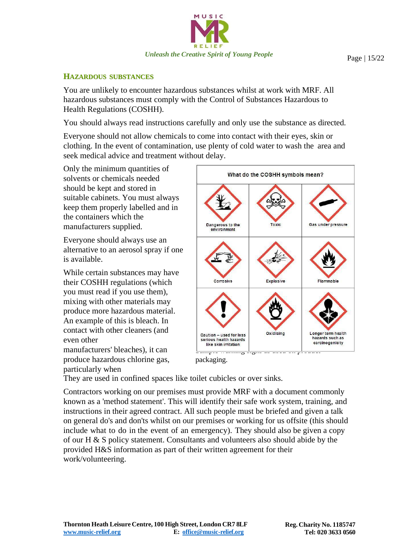

#### <span id="page-14-0"></span>**HAZARDOUS SUBSTANCES**

You are unlikely to encounter hazardous substances whilst at work with MRF. All hazardous substances must comply with the Control of Substances Hazardous to Health Regulations (COSHH).

You should always read instructions carefully and only use the substance as directed.

Everyone should not allow chemicals to come into contact with their eyes, skin or clothing. In the event of contamination, use plenty of cold water to wash the area and seek medical advice and treatment without delay.

Only the minimum quantities of solvents or chemicals needed should be kept and stored in suitable cabinets. You must always keep them properly labelled and in the containers which the manufacturers supplied.

Everyone should always use an alternative to an aerosol spray if one is available.

While certain substances may have their COSHH regulations (which you must read if you use them), mixing with other materials may produce more hazardous material. An example of this is bleach. In contact with other cleaners (and even other

manufacturers' bleaches), it can produce hazardous chlorine gas, particularly when



They are used in confined spaces like toilet cubicles or over sinks.

Contractors working on our premises must provide MRF with a document commonly known as a 'method statement'. This will identify their safe work system, training, and instructions in their agreed contract. All such people must be briefed and given a talk on general do's and don'ts whilst on our premises or working for us offsite (this should include what to do in the event of an emergency). They should also be given a copy of our H & S policy statement. Consultants and volunteers also should abide by the provided H&S information as part of their written agreement for their work/volunteering.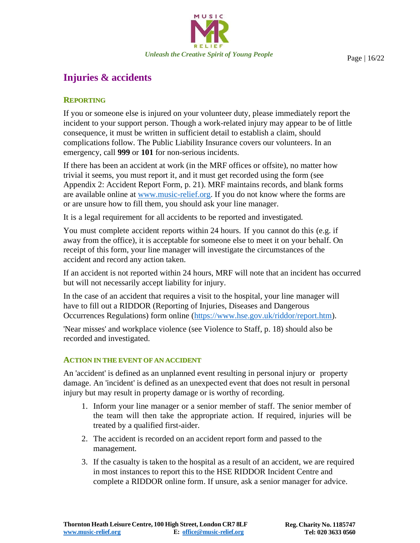

### **Injuries & accidents**

#### **REPORTING**

If you or someone else is injured on your volunteer duty, please immediately report the incident to your support person. Though a work-related injury may appear to be of little consequence, it must be written in sufficient detail to establish a claim, should complications follow. The Public Liability Insurance covers our volunteers. In an emergency, call **999** or **101** for non-serious incidents.

If there has been an accident at work (in the MRF offices or offsite), no matter how trivial it seems, you must report it, and it must get recorded using the form (see Appendix 2: Accident Report Form, p. 21). MRF maintains records, and blank forms are available online at [www.music-relief.org.](http://www.music-relief.org/) If you do not know where the forms are or are unsure how to fill them, you should ask your line manager.

It is a legal requirement for all accidents to be reported and investigated.

You must complete accident reports within 24 hours. If you cannot do this (e.g. if away from the office), it is acceptable for someone else to meet it on your behalf. On receipt of this form, your line manager will investigate the circumstances of the accident and record any action taken.

If an accident is not reported within 24 hours, MRF will note that an incident has occurred but will not necessarily accept liability for injury.

In the case of an accident that requires a visit to the hospital, your line manager will have to fill out a RIDDOR (Reporting of Injuries, Diseases and Dangerous Occurrences Regulations) form online (https:/[/www.hse.gov.uk/riddor/report.htm\).](http://www.hse.gov.uk/riddor/report.htm))

'Near misses' and workplace violence (see Violence to Staff, p. 18) should also be recorded and investigated.

#### **ACTION IN THE EVENT OF AN ACCIDENT**

An 'accident' is defined as an unplanned event resulting in personal injury or property damage. An 'incident' is defined as an unexpected event that does not result in personal injury but may result in property damage or is worthy of recording.

- 1. Inform your line manager or a senior member of staff. The senior member of the team will then take the appropriate action. If required, injuries will be treated by a qualified first-aider.
- 2. The accident is recorded on an accident report form and passed to the management.
- 3. If the casualty is taken to the hospital as a result of an accident, we are required in most instances to report this to the HSE RIDDOR Incident Centre and complete a RIDDOR online form. If unsure, ask a senior manager for advice.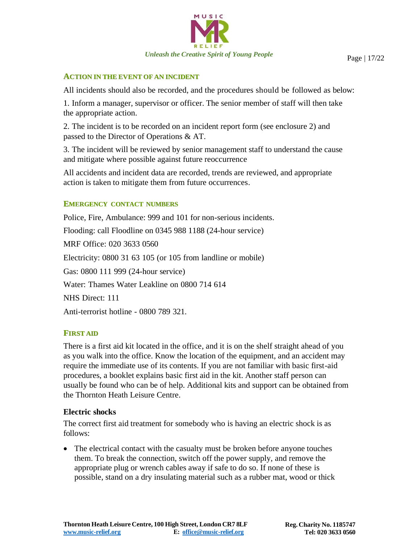

#### **ACTION IN THE EVENT OF AN INCIDENT**

All incidents should also be recorded, and the procedures should be followed as below:

1. Inform a manager, supervisor or officer. The senior member of staff will then take the appropriate action.

2. The incident is to be recorded on an incident report form (see enclosure 2) and passed to the Director of Operations & AT.

3. The incident will be reviewed by senior management staff to understand the cause and mitigate where possible against future reoccurrence

All accidents and incident data are recorded, trends are reviewed, and appropriate action is taken to mitigate them from future occurrences.

#### **EMERGENCY CONTACT NUMBERS**

Police, Fire, Ambulance: 999 and 101 for non-serious incidents. Flooding: call Floodline on 0345 988 1188 (24-hour service) MRF Office: 020 3633 0560 Electricity: 0800 31 63 105 (or 105 from landline or mobile) Gas: 0800 111 999 (24-hour service) Water: Thames Water Leakline on 0800 714 614 NHS Direct: 111 Anti-terrorist hotline - 0800 789 321.

#### **FIRST AID**

There is a first aid kit located in the office, and it is on the shelf straight ahead of you as you walk into the office. Know the location of the equipment, and an accident may require the immediate use of its contents. If you are not familiar with basic first-aid procedures, a booklet explains basic first aid in the kit. Another staff person can usually be found who can be of help. Additional kits and support can be obtained from the Thornton Heath Leisure Centre.

#### **Electric shocks**

The correct first aid treatment for somebody who is having an electric shock is as follows:

• The electrical contact with the casualty must be broken before anyone touches them. To break the connection, switch off the power supply, and remove the appropriate plug or wrench cables away if safe to do so. If none of these is possible, stand on a dry insulating material such as a rubber mat, wood or thick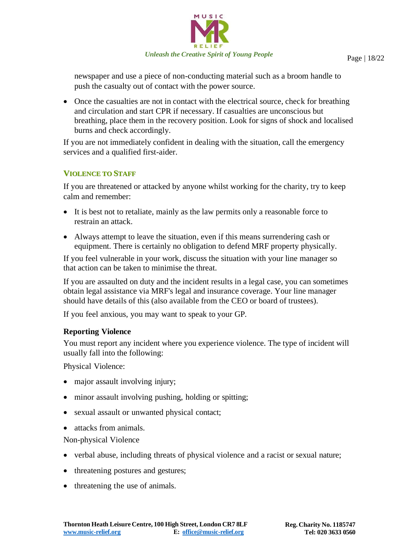

newspaper and use a piece of non-conducting material such as a broom handle to push the casualty out of contact with the power source.

• Once the casualties are not in contact with the electrical source, check for breathing and circulation and start CPR if necessary. If casualties are unconscious but breathing, place them in the recovery position. Look for signs of shock and localised burns and check accordingly.

If you are not immediately confident in dealing with the situation, call the emergency services and a qualified first-aider.

#### **VIOLENCE TO STAFF**

If you are threatened or attacked by anyone whilst working for the charity, try to keep calm and remember:

- It is best not to retaliate, mainly as the law permits only a reasonable force to restrain an attack.
- Always attempt to leave the situation, even if this means surrendering cash or equipment. There is certainly no obligation to defend MRF property physically.

If you feel vulnerable in your work, discuss the situation with your line manager so that action can be taken to minimise the threat.

If you are assaulted on duty and the incident results in a legal case, you can sometimes obtain legal assistance via MRF's legal and insurance coverage. Your line manager should have details of this (also available from the CEO or board of trustees).

If you feel anxious, you may want to speak to your GP.

#### **Reporting Violence**

You must report any incident where you experience violence. The type of incident will usually fall into the following:

Physical Violence:

- major assault involving injury;
- minor assault involving pushing, holding or spitting;
- sexual assault or unwanted physical contact;
- attacks from animals.

Non-physical Violence

- verbal abuse, including threats of physical violence and a racist or sexual nature;
- threatening postures and gestures;
- threatening the use of animals.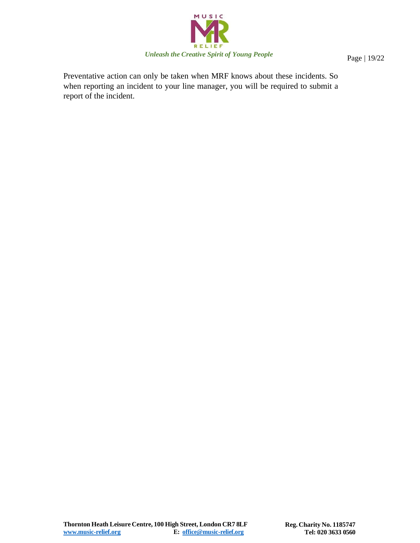

Preventative action can only be taken when MRF knows about these incidents. So when reporting an incident to your line manager, you will be required to submit a report of the incident.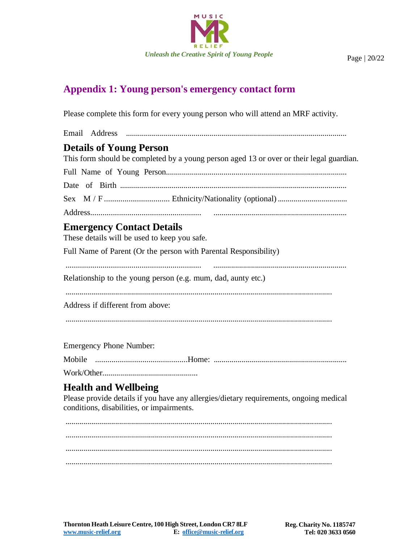

### **Appendix 1: Young person's emergency contact form**

Please complete this form for every young person who will attend an MRF activity.

## Email Address ............................................................................................................... **Details of Young Person** This form should be completed by a young person aged 13 or over or their legal guardian. Full Name of Young Person........................................................................................... Date of Birth .................................................................................................................. Sex M / F ................................ Ethnicity/Nationality (optional)................................... Address...................................................... ...................................................................

## **Emergency Contact Details**

These details will be used to keep you safe.

Full Name of Parent (Or the person with Parental Responsibility)

.................................................................. ...................................................................

Relationship to the young person (e.g. mum, dad, aunty etc.)

......................................................................................................................................

Address if different from above:

......................................................................................................................................

Emergency Phone Number:

Mobile .............................................Home: ...................................................................

Work/Other................................................

### **Health and Wellbeing**

Please provide details if you have any allergies/dietary requirements, ongoing medical conditions, disabilities, or impairments.

...................................................................................................................................... ...................................................................................................................................... ......................................................................................................................................

......................................................................................................................................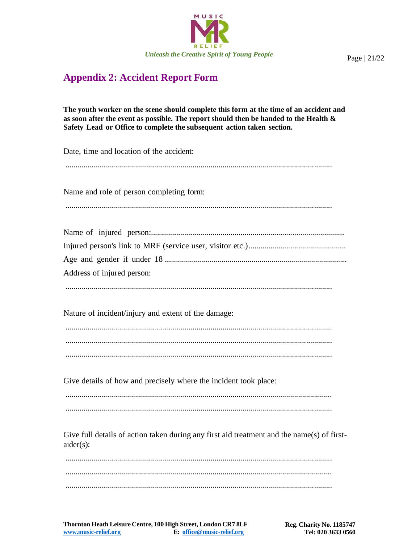

### **Appendix 2: Accident Report Form**

The youth worker on the scene should complete this form at the time of an accident and as soon after the event as possible. The report should then be handed to the Health & Safety Lead or Office to complete the subsequent action taken section.

Date, time and location of the accident: Name and role of person completing form: Address of injured person: Nature of incident/injury and extent of the damage: Give details of how and precisely where the incident took place: Give full details of action taken during any first aid treatment and the name(s) of first $aider(s)$ : 

Page | 21/22